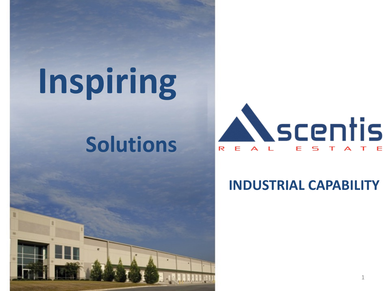# **Inspiring**

## **Solutions**



**INDUSTRIAL CAPABILITY**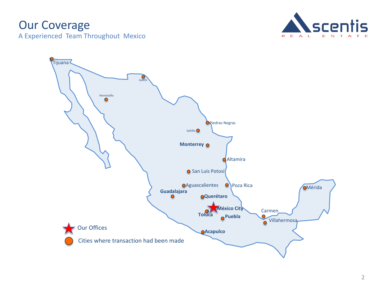## Our Coverage

A Experienced Team Throughout Mexico



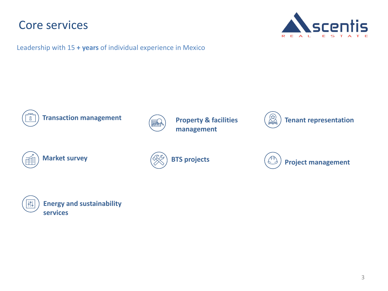## Core services



Leadership with 15 **+ years** of individual experience in Mexico



**Transaction management**



**Property & facilities management**







**Project management**

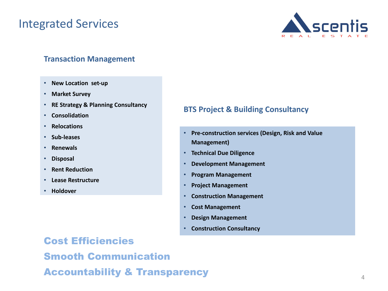## Integrated Services



### **Transaction Management**

- **New Location set-up**
- **Market Survey**
- **RE Strategy & Planning Consultancy**
- **Consolidation**
- **Relocations**
- **Sub-leases**
- **Renewals**
- **Disposal**
- **Rent Reduction**
- **Lease Restructure**
- **Holdover**

## **BTS Project & Building Consultancy**

- **Pre-construction services (Design, Risk and Value Management)**
- **Technical Due Diligence**
- **Development Management**
- **Program Management**
- **Project Management**
- **Construction Management**
- **Cost Management**
- **Design Management**
- **Construction Consultancy**

Cost Efficiencies Smooth Communication Accountability & Transparency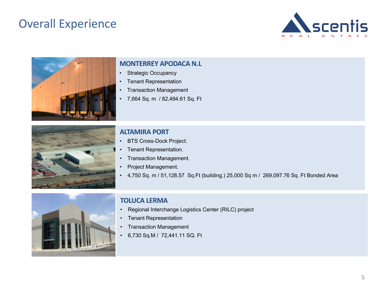## Overall Experience





#### **MONTERREY APODACA N.L**

- Strategic Occupancy
- Tenant Representation
- Transaction Management
- 7,664 Sq. m / 82,494.61 Sq. Ft



#### **ALTAMIRA PORT**

- **BTS Cross-Dock Project.**
- Tenant Representation.
- Transaction Management.
- Project Management.
- 4,750 Sq. m / 51,128.57 Sq.Ft (building.) 25,000 Sq m / 269,097.76 Sq. Ft Bonded Area



### **TOLUCA LERMA**

- Regional Interchange Logistics Center (RILC) project
- Tenant Representation
- Transaction Management
- 6,730 Sq.M / 72,441.11 SQ. Ft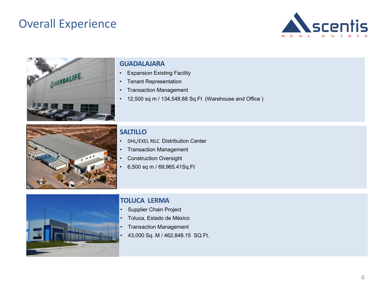## Overall Experience





#### **GUADALAJARA**

- Expansion Existing Facility
- Tenant Representation
- Transaction Management
- 12,500 sq m / 134,548.88 Sq.Ft (Warehouse and Office )



### **SALTILLO**

- DHL/EXEL RILC Distribution Center
- Transaction Management
- Construction Oversight
- 6,500 sq m / 69,965.41Sq.Ft



#### **TOLUCA LERMA**

- Supplier Chain Project
- Toluca, Estado de México
- Transaction Management
- 43,000 Sq. M / 462,848.15 SQ.Ft.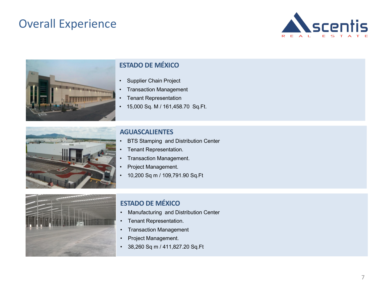## Overall Experience





## **ESTADO DE MÉXICO**

- Supplier Chain Project
- Transaction Management
- Tenant Representation
- 15,000 Sq. M / 161,458.70 Sq.Ft.



#### **AGUASCALIENTES**

- BTS Stamping and Distribution Center
- Tenant Representation.
- Transaction Management.
- Project Management.
- 10,200 Sq m / 109,791.90 Sq.Ft



#### **ESTADO DE MÉXICO**

- Manufacturing and Distribution Center
- Tenant Representation.
- Transaction Management
- Project Management.
- 38,260 Sq m / 411,827.20 Sq.Ft